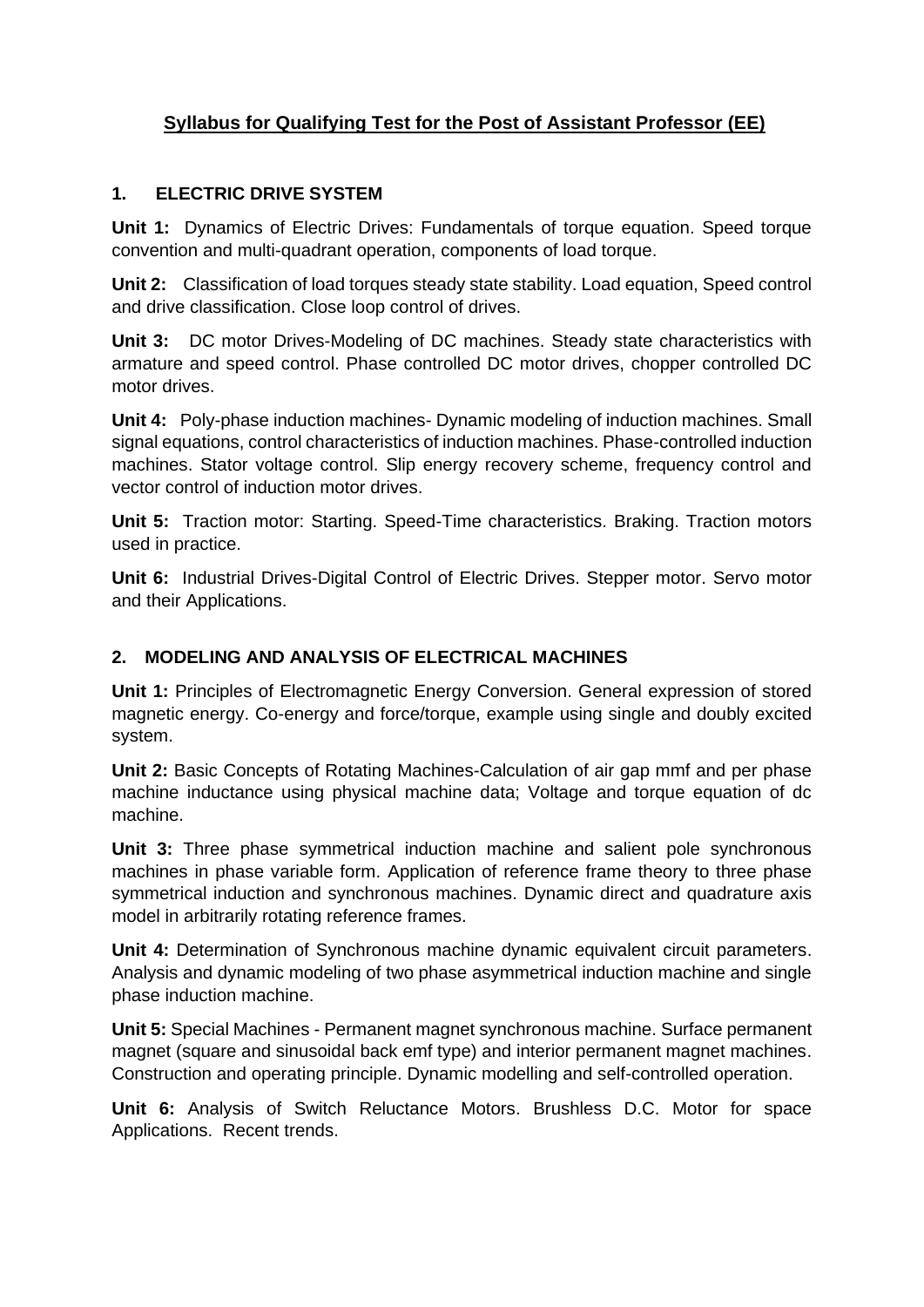# **Syllabus for Qualifying Test for the Post of Assistant Professor (EE)**

## **1. ELECTRIC DRIVE SYSTEM**

**Unit 1:** Dynamics of Electric Drives: Fundamentals of torque equation. Speed torque convention and multi-quadrant operation, components of load torque.

**Unit 2:** Classification of load torques steady state stability. Load equation, Speed control and drive classification. Close loop control of drives.

**Unit 3:** DC motor Drives-Modeling of DC machines. Steady state characteristics with armature and speed control. Phase controlled DC motor drives, chopper controlled DC motor drives.

**Unit 4:** Poly-phase induction machines- Dynamic modeling of induction machines. Small signal equations, control characteristics of induction machines. Phase-controlled induction machines. Stator voltage control. Slip energy recovery scheme, frequency control and vector control of induction motor drives.

**Unit 5:** Traction motor: Starting. Speed-Time characteristics. Braking. Traction motors used in practice.

**Unit 6:** Industrial Drives-Digital Control of Electric Drives. Stepper motor. Servo motor and their Applications.

# **2. MODELING AND ANALYSIS OF ELECTRICAL MACHINES**

**Unit 1:** Principles of Electromagnetic Energy Conversion. General expression of stored magnetic energy. Co-energy and force/torque, example using single and doubly excited system.

**Unit 2:** Basic Concepts of Rotating Machines-Calculation of air gap mmf and per phase machine inductance using physical machine data; Voltage and torque equation of dc machine.

**Unit 3:** Three phase symmetrical induction machine and salient pole synchronous machines in phase variable form. Application of reference frame theory to three phase symmetrical induction and synchronous machines. Dynamic direct and quadrature axis model in arbitrarily rotating reference frames.

**Unit 4:** Determination of Synchronous machine dynamic equivalent circuit parameters. Analysis and dynamic modeling of two phase asymmetrical induction machine and single phase induction machine.

**Unit 5:** Special Machines - Permanent magnet synchronous machine. Surface permanent magnet (square and sinusoidal back emf type) and interior permanent magnet machines. Construction and operating principle. Dynamic modelling and self-controlled operation.

**Unit 6:** Analysis of Switch Reluctance Motors. Brushless D.C. Motor for space Applications. Recent trends.